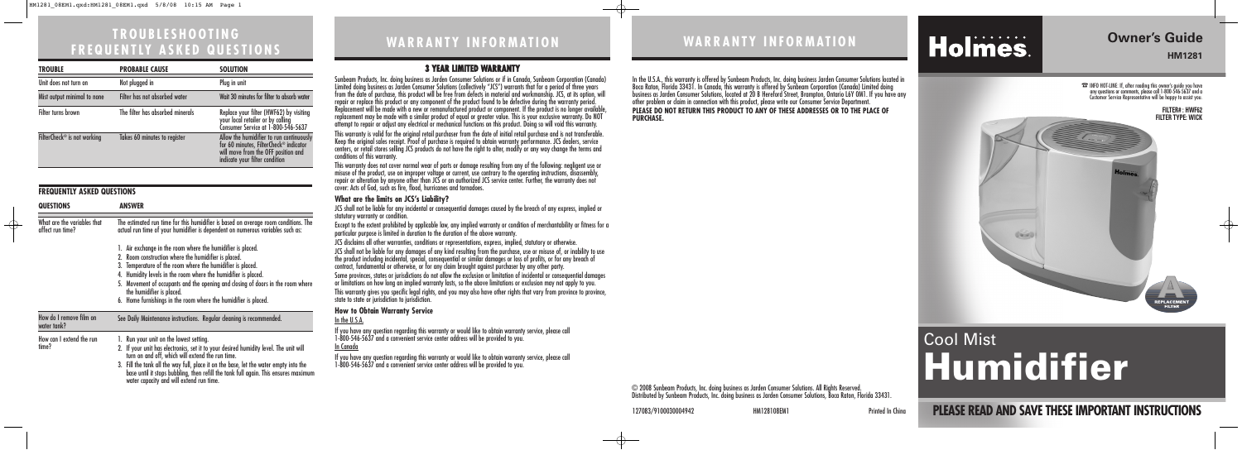# **WARRANTY INFORMATION**

**PLEASE READ AND SAVE THESE IMPORTANT INSTRUCTIONS**

## **Owner's Guide HM1281**

 $\oplus$ 

# **WARRANTY INFORMATION**

# Holmes.

127083/9100030004942 HM128108EM1 Printed In China

# Cool Mist **Humidifier**

☎INFO HOT-LINE: If, after reading this owner's guide you have any questions or comments, please call 1-800-546-5637 and a Customer Service Representative will be happy to assist you.

#### **3 YEAR LIMITED WARRANTY**

Sunbeam Products, Inc. doing business as Jarden Consumer Solutions or if in Canada, Sunbeam Corporation (Canada) Limited doing business as Jarden Consumer Solutions (collectively "JCS") warrants that for a period of three years from the date of purchase, this product will be free from defects in material and workmanship. JCS, at its option, will repair or replace this product or any component of the product found to be defective during the warranty period. Replacement will be made with a new or remanufactured product or component. If the product is no longer available, replacement may be made with a similar product of equal or greater value. This is your exclusive warranty. Do NOT attempt to repair or adjust any electrical or mechanical functions on this product. Doing so will void this warranty. This warranty is valid for the original retail purchaser from the date of initial retail purchase and is not transferable. Keep the original sales receipt. Proof of purchase is required to obtain warranty performance. JCS dealers, service centers, or retail stores selling JCS products do not have the right to alter, modify or any way change the terms and conditions of this warranty.

This warranty does not cover normal wear of parts or damage resulting from any of the following: negligent use or misuse of the product, use on improper voltage or current, use contrary to the operating instructions, disassembly, repair or alteration by anyone other than JCS or an authorized JCS service center. Further, the warranty does not cover: Acts of God, such as fire, flood, hurricanes and tornadoes.

#### **What are the limits on JCS's Liability?**

JCS shall not be liable for any incidental or consequential damages caused by the breach of any express, implied or statutory warranty or condition.

Except to the extent prohibited by applicable law, any implied warranty or condition of merchantability or fitness for a particular purpose is limited in duration to the duration of the above warranty.

JCS disclaims all other warranties, conditions or representations, express, implied, statutory or otherwise.

JCS shall not be liable for any damages of any kind resulting from the purchase, use or misuse of, or inability to use the product including incidental, special, consequential or similar damages or loss of profits, or for any breach of contract, fundamental or otherwise, or for any claim brought against purchaser by any other party.

Some provinces, states or jurisdictions do not allow the exclusion or limitation of incidental or consequential damages or limitations on how long an implied warranty lasts, so the above limitations or exclusion may not apply to you. This warranty gives you specific legal rights, and you may also have other rights that vary from province to province, state to state or jurisdiction to jurisdiction.

#### **How to Obtain Warranty Service**

#### In the U.S.A.

If you have any question regarding this warranty or would like to obtain warranty service, please call 1-800-546-5637 and a convenient service center address will be provided to you. In Canada

If you have any question regarding this warranty or would like to obtain warranty service, please call 1-800-546-5637 and a convenient service center address will be provided to you.

> © 2008 Sunbeam Products, Inc. doing business as Jarden Consumer Solutions. All Rights Reserved. Distributed by Sunbeam Products, Inc. doing business as Jarden Consumer Solutions, Boca Raton, Florida 33431.

In the U.S.A., this warranty is offered by Sunbeam Products, Inc. doing business Jarden Consumer Solutions located in Boca Raton, Florida 33431. In Canada, this warranty is offered by Sunbeam Corporation (Canada) Limited doing business as Jarden Consumer Solutions, located at 20 B Hereford Street, Brampton, Ontario L6Y 0M1. If you have any other problem or claim in connection with this product, please write our Consumer Service Department. **PLEASE DO NOT RETURN THIS PRODUCT TO ANY OF THESE ADDRESSES OR TO THE PLACE OF PURCHASE.** 



# **TROUBLESHOOTING FREQUENTLY ASKED QUESTIONS**

| <b>TROUBLE</b>                          | <b>PROBABLE CAUSE</b>            | <b>SOLUTION</b>                                                                                                                                                                                   |
|-----------------------------------------|----------------------------------|---------------------------------------------------------------------------------------------------------------------------------------------------------------------------------------------------|
| Unit does not turn on                   | Not plugged in                   | Plug in unit                                                                                                                                                                                      |
| Mist output minimal to none             | Filter has not absorbed water    | Wait 30 minutes for filter to absorb water                                                                                                                                                        |
| Filter turns brown                      | The filter has absorbed minerals | Replace your filter (HWF62) by visiting<br>your local retailer or by calling<br>Consumer Service at 1-800-546-5637                                                                                |
| FilterCheck <sup>®</sup> is not working | Takes 60 minutes to register     | Allow the humidifier to run continuously<br>Find the indicate of the indicator<br>for 60 minutes, FilterCheck® indicator<br>will move from the OFF position and<br>indicate your filter condition |

#### **FREQUENTLY ASKED QUESTIONS**

 $\oplus$ 

| <b>QUESTIONS</b>                                | <b>ANSWER</b>                                                                                                                                                                                                                                                                                                                                                                                                                          |  |
|-------------------------------------------------|----------------------------------------------------------------------------------------------------------------------------------------------------------------------------------------------------------------------------------------------------------------------------------------------------------------------------------------------------------------------------------------------------------------------------------------|--|
| What are the variables that<br>affect run time? | The estimated run time for this humidifier is based on average room conditions. The<br>actual run time of your humidifier is dependent on numerous variables such as:                                                                                                                                                                                                                                                                  |  |
|                                                 | 1. Air exchange in the room where the humidifier is placed.<br>2. Room construction where the humidifier is placed.<br>3. Temperature of the room where the humidifier is placed.<br>4. Humidity levels in the room where the humidifier is placed.<br>5. Movement of occupants and the opening and closing of doors in the room where<br>the humidifier is placed.<br>6. Home furnishings in the room where the humidifier is placed. |  |
| How do I remove film on<br>water tank?          | See Daily Maintenance instructions. Regular cleaning is recommended.                                                                                                                                                                                                                                                                                                                                                                   |  |
| How can I extend the run<br>time?               | 1. Run your unit on the lowest setting.<br>2. If your unit has electronics, set it to your desired humidity level. The unit will<br>turn on and off, which will extend the run time.<br>3. Fill the tank all the way full, place it on the base, let the water empty into the<br>base until it stops bubbling, then refill the tank full again. This ensures maximum<br>water capacity and will extend run time.                       |  |